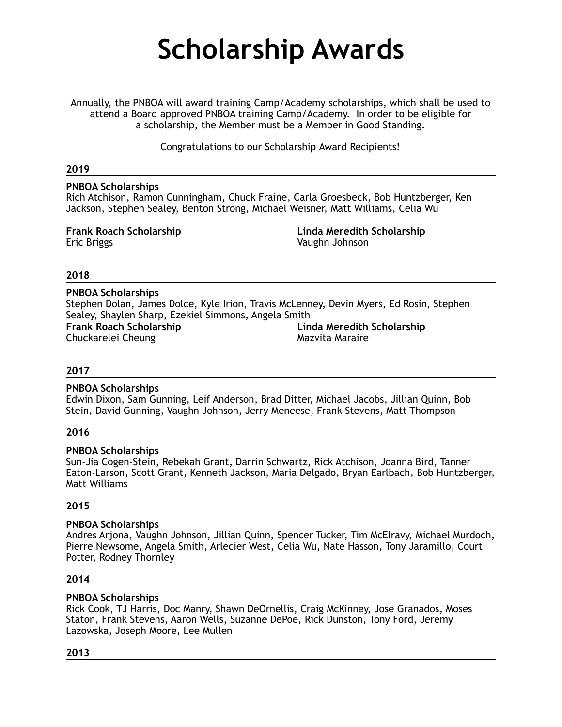# **Scholarship Awards**

Annually, the PNBOA will award training Camp/Academy scholarships, which shall be used to attend a Board approved PNBOA training Camp/Academy. In order to be eligible for a scholarship, the Member must be a Member in Good Standing.

Congratulations to our Scholarship Award Recipients!

## **2019**

**PNBOA Scholarships**  Rich Atchison, Ramon Cunningham, Chuck Fraine, Carla Groesbeck, Bob Huntzberger, Ken Jackson, Stephen Sealey, Benton Strong, Michael Weisner, Matt Williams, Celia Wu

**Frank Roach Scholarship** Eric Briggs

**Linda Meredith Scholarship**  Vaughn Johnson

## **2018**

**PNBOA Scholarships**  Stephen Dolan, James Dolce, Kyle Irion, Travis McLenney, Devin Myers, Ed Rosin, Stephen Sealey, Shaylen Sharp, Ezekiel Simmons, Angela Smith **Frank Roach Scholarship**  Chuckarelei Cheung **Linda Meredith Scholarship**  Mazvita Maraire

## **2017**

#### **PNBOA Scholarships**

Edwin Dixon, Sam Gunning, Leif Anderson, Brad Ditter, Michael Jacobs, Jillian Quinn, Bob Stein, David Gunning, Vaughn Johnson, Jerry Meneese, Frank Stevens, Matt Thompson

#### **2016**

#### **PNBOA Scholarships**

Sun-Jia Cogen-Stein, Rebekah Grant, Darrin Schwartz, Rick Atchison, Joanna Bird, Tanner Eaton-Larson, Scott Grant, Kenneth Jackson, Maria Delgado, Bryan Earlbach, Bob Huntzberger, Matt Williams

#### **2015**

## **PNBOA Scholarships**

Andres Arjona, Vaughn Johnson, Jillian Quinn, Spencer Tucker, Tim McElravy, Michael Murdoch, Pierre Newsome, Angela Smith, Arlecier West, Celia Wu, Nate Hasson, Tony Jaramillo, Court Potter, Rodney Thornley

#### **2014**

## **PNBOA Scholarships**

Rick Cook, TJ Harris, Doc Manry, Shawn DeOrnellis, Craig McKinney, Jose Granados, Moses Staton, Frank Stevens, Aaron Wells, Suzanne DePoe, Rick Dunston, Tony Ford, Jeremy Lazowska, Joseph Moore, Lee Mullen

#### **2013**